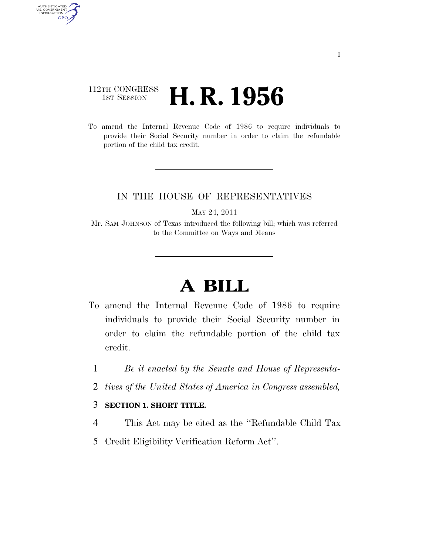## 112TH CONGRESS **1st Session H. R. 1956**

AUTHENTICATED<br>U.S. GOVERNMENT<br>INFORMATION GPO

> To amend the Internal Revenue Code of 1986 to require individuals to provide their Social Security number in order to claim the refundable portion of the child tax credit.

## IN THE HOUSE OF REPRESENTATIVES

MAY 24, 2011

Mr. SAM JOHNSON of Texas introduced the following bill; which was referred to the Committee on Ways and Means

## **A BILL**

- To amend the Internal Revenue Code of 1986 to require individuals to provide their Social Security number in order to claim the refundable portion of the child tax credit.
	- 1 *Be it enacted by the Senate and House of Representa-*
	- 2 *tives of the United States of America in Congress assembled,*

## 3 **SECTION 1. SHORT TITLE.**

- 4 This Act may be cited as the ''Refundable Child Tax
- 5 Credit Eligibility Verification Reform Act''.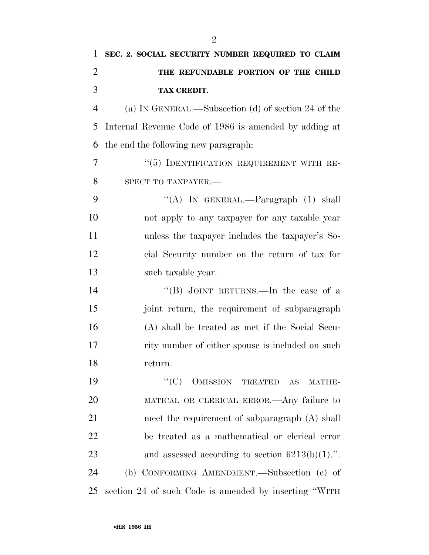| 1              | SEC. 2. SOCIAL SECURITY NUMBER REQUIRED TO CLAIM                     |
|----------------|----------------------------------------------------------------------|
| $\overline{2}$ | THE REFUNDABLE PORTION OF THE CHILD                                  |
| 3              | TAX CREDIT.                                                          |
| $\overline{4}$ | (a) IN GENERAL.—Subsection (d) of section 24 of the                  |
| 5              | Internal Revenue Code of 1986 is amended by adding at                |
| 6              | the end the following new paragraph:                                 |
| 7              | "(5) IDENTIFICATION REQUIREMENT WITH RE-                             |
| 8              | SPECT TO TAXPAYER.-                                                  |
| 9              | "(A) IN GENERAL.—Paragraph $(1)$ shall                               |
| 10             | not apply to any taxpayer for any taxable year                       |
| 11             | unless the taxpayer includes the taxpayer's So-                      |
| 12             | cial Security number on the return of tax for                        |
| 13             | such taxable year.                                                   |
| 14             | "(B) JOINT RETURNS.—In the case of a                                 |
| 15             | joint return, the requirement of subparagraph                        |
| 16             | (A) shall be treated as met if the Social Secu-                      |
| 17             | rity number of either spouse is included on such                     |
| 18             | return.                                                              |
| 19             | $\lq\lq$ (C)<br>OMISSION TREATED<br>$\mathbf{A}\mathbf{S}$<br>MATHE- |
| 20             | MATICAL OR CLERICAL ERROR.—Any failure to                            |
| 21             | meet the requirement of subparagraph (A) shall                       |
| 22             | be treated as a mathematical or clerical error                       |
| 23             | and assessed according to section $6213(b)(1)$ .".                   |
| 24             | (b) CONFORMING AMENDMENT.—Subsection (e) of                          |
| 25             | section 24 of such Code is amended by inserting "WITH                |